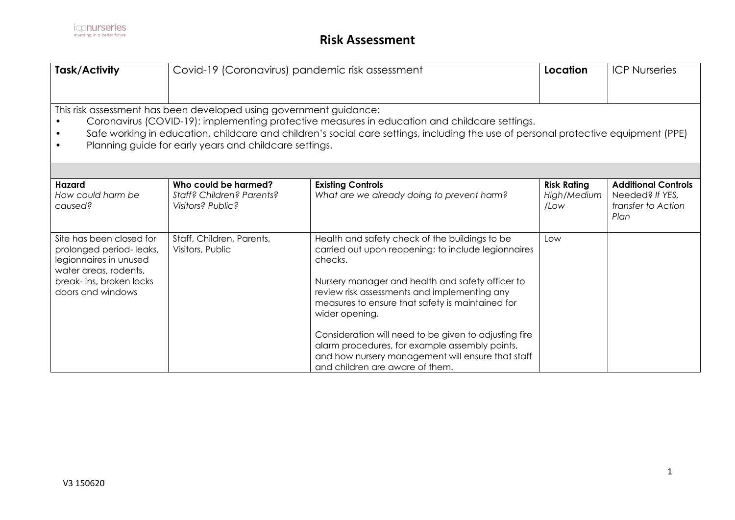| Task/Activity                                                                                                                                                                                                                                                                                                                                                                    | Covid-19 (Coronavirus) pandemic risk assessment                        |                                                                                                                                                                                                                                                                                                                                                                                                                                                                                               |                                           | <b>ICP Nurseries</b>                                                        |  |
|----------------------------------------------------------------------------------------------------------------------------------------------------------------------------------------------------------------------------------------------------------------------------------------------------------------------------------------------------------------------------------|------------------------------------------------------------------------|-----------------------------------------------------------------------------------------------------------------------------------------------------------------------------------------------------------------------------------------------------------------------------------------------------------------------------------------------------------------------------------------------------------------------------------------------------------------------------------------------|-------------------------------------------|-----------------------------------------------------------------------------|--|
| This risk assessment has been developed using government guidance:<br>Coronavirus (COVID-19): implementing protective measures in education and childcare settings.<br>Safe working in education, childcare and children's social care settings, including the use of personal protective equipment (PPE)<br>Planning guide for early years and childcare settings.<br>$\bullet$ |                                                                        |                                                                                                                                                                                                                                                                                                                                                                                                                                                                                               |                                           |                                                                             |  |
|                                                                                                                                                                                                                                                                                                                                                                                  |                                                                        |                                                                                                                                                                                                                                                                                                                                                                                                                                                                                               |                                           |                                                                             |  |
| <b>Hazard</b><br>How could harm be<br>caused?                                                                                                                                                                                                                                                                                                                                    | Who could be harmed?<br>Staff? Children? Parents?<br>Visitors? Public? | <b>Existing Controls</b><br>What are we already doing to prevent harm?                                                                                                                                                                                                                                                                                                                                                                                                                        | <b>Risk Rating</b><br>High/Medium<br>/Low | <b>Additional Controls</b><br>Needed? If YES,<br>transfer to Action<br>Plan |  |
| Site has been closed for<br>prolonged period-leaks,<br>legionnaires in unused<br>water areas, rodents,<br>break- ins, broken locks<br>doors and windows                                                                                                                                                                                                                          | Staff, Children, Parents,<br>Visitors, Public                          | Health and safety check of the buildings to be<br>carried out upon reopening; to include legionnaires<br>checks.<br>Nursery manager and health and safety officer to<br>review risk assessments and implementing any<br>measures to ensure that safety is maintained for<br>wider opening.<br>Consideration will need to be given to adjusting fire<br>alarm procedures, for example assembly points,<br>and how nursery management will ensure that staff<br>and children are aware of them. | Low                                       |                                                                             |  |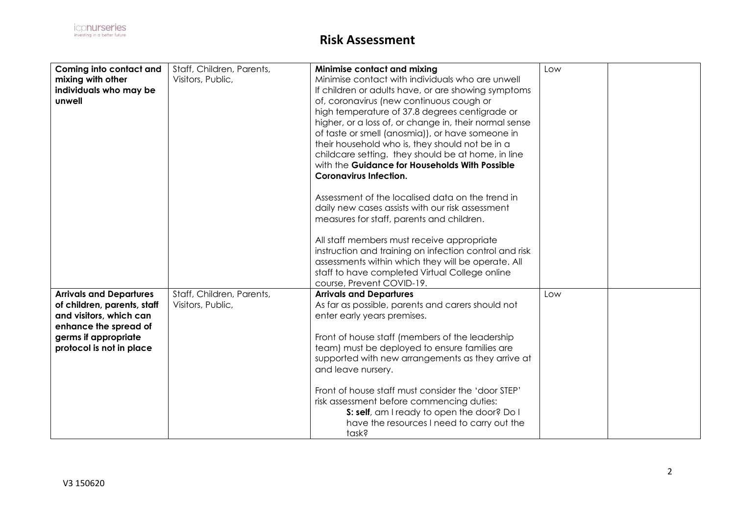| Coming into contact and        | Staff, Children, Parents, | Minimise contact and mixing                            | Low |  |
|--------------------------------|---------------------------|--------------------------------------------------------|-----|--|
| mixing with other              | Visitors, Public,         | Minimise contact with individuals who are unwell       |     |  |
| individuals who may be         |                           | If children or adults have, or are showing symptoms    |     |  |
| unwell                         |                           | of, coronavirus (new continuous cough or               |     |  |
|                                |                           | high temperature of 37.8 degrees centigrade or         |     |  |
|                                |                           |                                                        |     |  |
|                                |                           | higher, or a loss of, or change in, their normal sense |     |  |
|                                |                           | of taste or smell (anosmia)), or have someone in       |     |  |
|                                |                           | their household who is, they should not be in a        |     |  |
|                                |                           | childcare setting. they should be at home, in line     |     |  |
|                                |                           | with the Guidance for Households With Possible         |     |  |
|                                |                           | <b>Coronavirus Infection.</b>                          |     |  |
|                                |                           |                                                        |     |  |
|                                |                           | Assessment of the localised data on the trend in       |     |  |
|                                |                           | daily new cases assists with our risk assessment       |     |  |
|                                |                           | measures for staff, parents and children.              |     |  |
|                                |                           |                                                        |     |  |
|                                |                           | All staff members must receive appropriate             |     |  |
|                                |                           | instruction and training on infection control and risk |     |  |
|                                |                           |                                                        |     |  |
|                                |                           | assessments within which they will be operate. All     |     |  |
|                                |                           | staff to have completed Virtual College online         |     |  |
|                                |                           | course, Prevent COVID-19.                              |     |  |
| <b>Arrivals and Departures</b> | Staff, Children, Parents, | <b>Arrivals and Departures</b>                         | Low |  |
| of children, parents, staff    | Visitors, Public,         | As far as possible, parents and carers should not      |     |  |
| and visitors, which can        |                           | enter early years premises.                            |     |  |
| enhance the spread of          |                           |                                                        |     |  |
| germs if appropriate           |                           | Front of house staff (members of the leadership        |     |  |
| protocol is not in place       |                           | team) must be deployed to ensure families are          |     |  |
|                                |                           | supported with new arrangements as they arrive at      |     |  |
|                                |                           | and leave nursery.                                     |     |  |
|                                |                           |                                                        |     |  |
|                                |                           | Front of house staff must consider the 'door STEP'     |     |  |
|                                |                           | risk assessment before commencing duties:              |     |  |
|                                |                           |                                                        |     |  |
|                                |                           | S: self, am I ready to open the door? Do I             |     |  |
|                                |                           | have the resources I need to carry out the             |     |  |
|                                |                           | task?                                                  |     |  |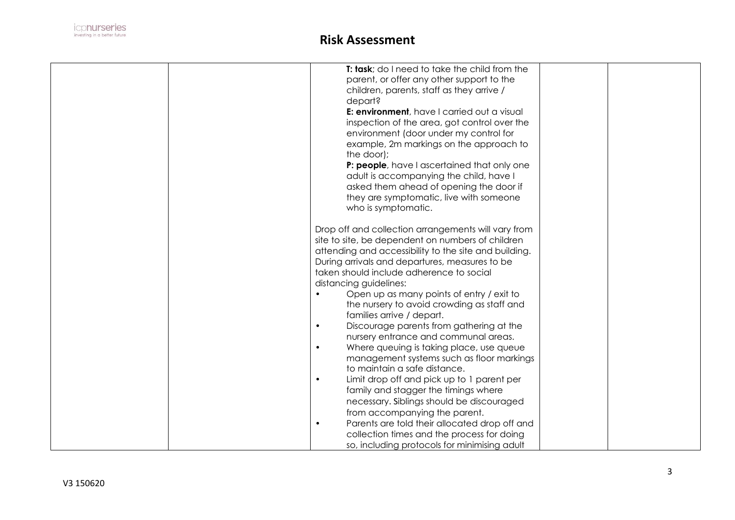

| T: task; do I need to take the child from the<br>parent, or offer any other support to the<br>children, parents, staff as they arrive /<br>depart?<br>E: environment, have I carried out a visual<br>inspection of the area, got control over the<br>environment (door under my control for<br>example, 2m markings on the approach to<br>the door);<br>P: people, have I ascertained that only one<br>adult is accompanying the child, have I<br>asked them ahead of opening the door if<br>they are symptomatic, live with someone<br>who is symptomatic.                                                                                                                                                                                                                                                                                                                                                                                                                                           |  |
|-------------------------------------------------------------------------------------------------------------------------------------------------------------------------------------------------------------------------------------------------------------------------------------------------------------------------------------------------------------------------------------------------------------------------------------------------------------------------------------------------------------------------------------------------------------------------------------------------------------------------------------------------------------------------------------------------------------------------------------------------------------------------------------------------------------------------------------------------------------------------------------------------------------------------------------------------------------------------------------------------------|--|
| Drop off and collection arrangements will vary from<br>site to site, be dependent on numbers of children<br>attending and accessibility to the site and building.<br>During arrivals and departures, measures to be<br>taken should include adherence to social<br>distancing guidelines:<br>Open up as many points of entry / exit to<br>the nursery to avoid crowding as staff and<br>families arrive / depart.<br>Discourage parents from gathering at the<br>$\bullet$<br>nursery entrance and communal areas.<br>Where queuing is taking place, use queue<br>$\bullet$<br>management systems such as floor markings<br>to maintain a safe distance.<br>Limit drop off and pick up to 1 parent per<br>$\bullet$<br>family and stagger the timings where<br>necessary. Siblings should be discouraged<br>from accompanying the parent.<br>Parents are told their allocated drop off and<br>$\bullet$<br>collection times and the process for doing<br>so, including protocols for minimising adult |  |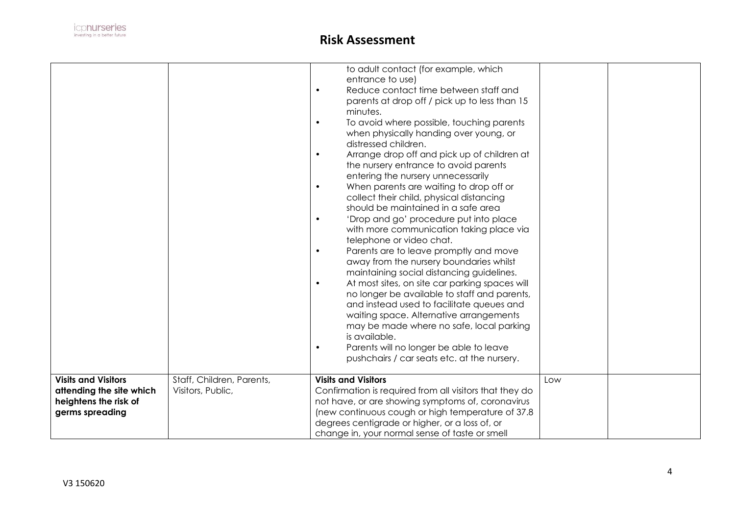

|                                                                                                    |                                                | to adult contact (for example, which<br>entrance to use)<br>Reduce contact time between staff and<br>$\bullet$<br>parents at drop off / pick up to less than 15<br>minutes.<br>To avoid where possible, touching parents<br>$\bullet$<br>when physically handing over young, or<br>distressed children.<br>Arrange drop off and pick up of children at<br>$\bullet$<br>the nursery entrance to avoid parents<br>entering the nursery unnecessarily<br>When parents are waiting to drop off or<br>$\bullet$<br>collect their child, physical distancing<br>should be maintained in a safe area<br>'Drop and go' procedure put into place<br>$\bullet$<br>with more communication taking place via<br>telephone or video chat.<br>Parents are to leave promptly and move<br>$\bullet$<br>away from the nursery boundaries whilst<br>maintaining social distancing guidelines.<br>At most sites, on site car parking spaces will<br>$\bullet$<br>no longer be available to staff and parents,<br>and instead used to facilitate queues and<br>waiting space. Alternative arrangements<br>may be made where no safe, local parking<br>is available.<br>Parents will no longer be able to leave<br>$\bullet$<br>pushchairs / car seats etc. at the nursery. |     |  |
|----------------------------------------------------------------------------------------------------|------------------------------------------------|--------------------------------------------------------------------------------------------------------------------------------------------------------------------------------------------------------------------------------------------------------------------------------------------------------------------------------------------------------------------------------------------------------------------------------------------------------------------------------------------------------------------------------------------------------------------------------------------------------------------------------------------------------------------------------------------------------------------------------------------------------------------------------------------------------------------------------------------------------------------------------------------------------------------------------------------------------------------------------------------------------------------------------------------------------------------------------------------------------------------------------------------------------------------------------------------------------------------------------------------------------|-----|--|
| <b>Visits and Visitors</b><br>attending the site which<br>heightens the risk of<br>germs spreading | Staff, Children, Parents,<br>Visitors, Public, | <b>Visits and Visitors</b><br>Confirmation is required from all visitors that they do<br>not have, or are showing symptoms of, coronavirus<br>(new continuous cough or high temperature of 37.8)<br>degrees centigrade or higher, or a loss of, or<br>change in, your normal sense of taste or smell                                                                                                                                                                                                                                                                                                                                                                                                                                                                                                                                                                                                                                                                                                                                                                                                                                                                                                                                                   | Low |  |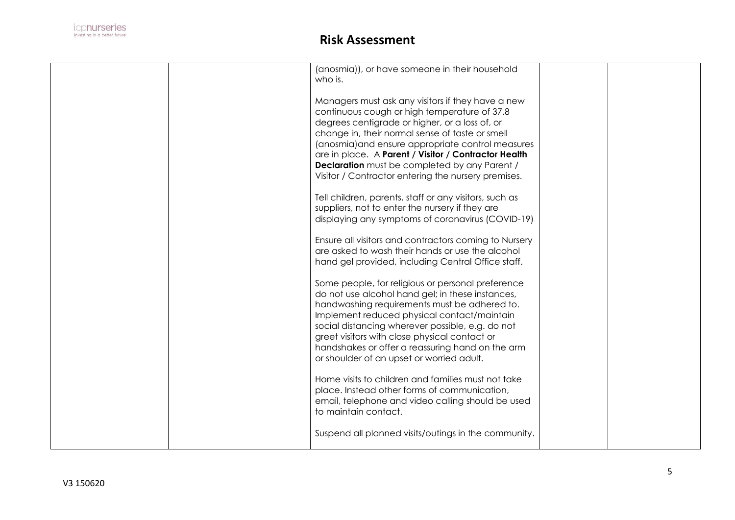

|  | (anosmia)), or have someone in their household<br>who is.                                                                                                                                                                                                                                                                                                                                                                          |  |
|--|------------------------------------------------------------------------------------------------------------------------------------------------------------------------------------------------------------------------------------------------------------------------------------------------------------------------------------------------------------------------------------------------------------------------------------|--|
|  | Managers must ask any visitors if they have a new<br>continuous cough or high temperature of 37.8<br>degrees centigrade or higher, or a loss of, or<br>change in, their normal sense of taste or smell<br>(anosmia) and ensure appropriate control measures<br>are in place. A Parent / Visitor / Contractor Health<br><b>Declaration</b> must be completed by any Parent /<br>Visitor / Contractor entering the nursery premises. |  |
|  | Tell children, parents, staff or any visitors, such as<br>suppliers, not to enter the nursery if they are<br>displaying any symptoms of coronavirus (COVID-19)                                                                                                                                                                                                                                                                     |  |
|  | Ensure all visitors and contractors coming to Nursery<br>are asked to wash their hands or use the alcohol<br>hand gel provided, including Central Office staff.                                                                                                                                                                                                                                                                    |  |
|  | Some people, for religious or personal preference<br>do not use alcohol hand gel; in these instances,<br>handwashing requirements must be adhered to.<br>Implement reduced physical contact/maintain<br>social distancing wherever possible, e.g. do not<br>greet visitors with close physical contact or<br>handshakes or offer a reassuring hand on the arm<br>or shoulder of an upset or worried adult.                         |  |
|  | Home visits to children and families must not take<br>place. Instead other forms of communication,<br>email, telephone and video calling should be used<br>to maintain contact.                                                                                                                                                                                                                                                    |  |
|  | Suspend all planned visits/outings in the community.                                                                                                                                                                                                                                                                                                                                                                               |  |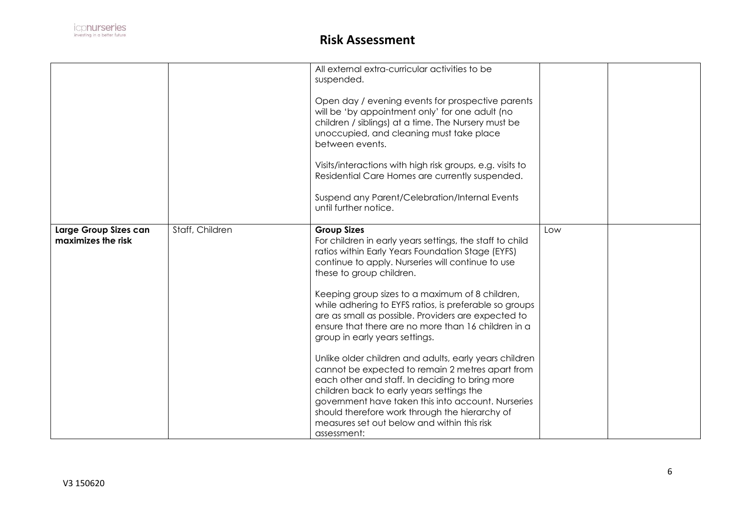

|                                             |                 | All external extra-curricular activities to be<br>suspended.<br>Open day / evening events for prospective parents<br>will be 'by appointment only' for one adult (no<br>children / siblings) at a time. The Nursery must be<br>unoccupied, and cleaning must take place<br>between events.<br>Visits/interactions with high risk groups, e.g. visits to<br>Residential Care Homes are currently suspended.<br>Suspend any Parent/Celebration/Internal Events                                                                                                                                                                                                                                                                                                                                                                                                          |     |  |
|---------------------------------------------|-----------------|-----------------------------------------------------------------------------------------------------------------------------------------------------------------------------------------------------------------------------------------------------------------------------------------------------------------------------------------------------------------------------------------------------------------------------------------------------------------------------------------------------------------------------------------------------------------------------------------------------------------------------------------------------------------------------------------------------------------------------------------------------------------------------------------------------------------------------------------------------------------------|-----|--|
|                                             |                 | until further notice.                                                                                                                                                                                                                                                                                                                                                                                                                                                                                                                                                                                                                                                                                                                                                                                                                                                 |     |  |
| Large Group Sizes can<br>maximizes the risk | Staff, Children | <b>Group Sizes</b><br>For children in early years settings, the staff to child<br>ratios within Early Years Foundation Stage (EYFS)<br>continue to apply. Nurseries will continue to use<br>these to group children.<br>Keeping group sizes to a maximum of 8 children,<br>while adhering to EYFS ratios, is preferable so groups<br>are as small as possible. Providers are expected to<br>ensure that there are no more than 16 children in a<br>group in early years settings.<br>Unlike older children and adults, early years children<br>cannot be expected to remain 2 metres apart from<br>each other and staff. In deciding to bring more<br>children back to early years settings the<br>government have taken this into account. Nurseries<br>should therefore work through the hierarchy of<br>measures set out below and within this risk<br>assessment: | Low |  |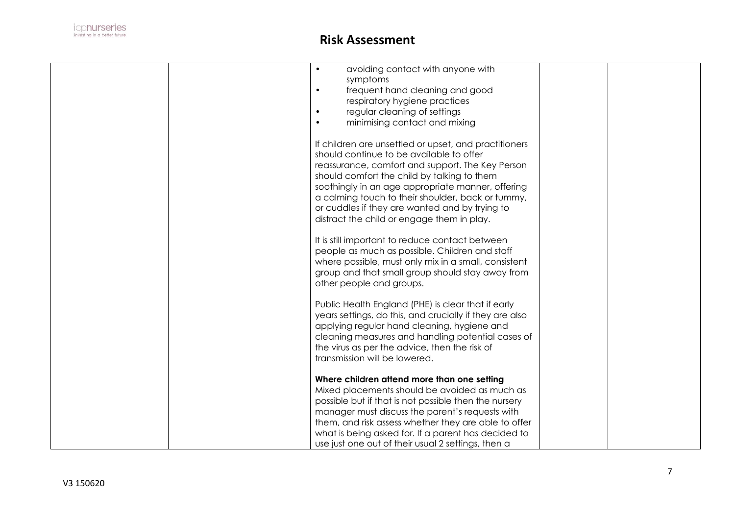

|  | avoiding contact with anyone with<br>$\bullet$          |  |
|--|---------------------------------------------------------|--|
|  | symptoms                                                |  |
|  | frequent hand cleaning and good<br>$\bullet$            |  |
|  | respiratory hygiene practices                           |  |
|  | regular cleaning of settings<br>$\bullet$               |  |
|  | minimising contact and mixing<br>$\bullet$              |  |
|  |                                                         |  |
|  | If children are unsettled or upset, and practitioners   |  |
|  | should continue to be available to offer                |  |
|  | reassurance, comfort and support. The Key Person        |  |
|  | should comfort the child by talking to them             |  |
|  | soothingly in an age appropriate manner, offering       |  |
|  | a calming touch to their shoulder, back or tummy,       |  |
|  | or cuddles if they are wanted and by trying to          |  |
|  | distract the child or engage them in play.              |  |
|  |                                                         |  |
|  | It is still important to reduce contact between         |  |
|  | people as much as possible. Children and staff          |  |
|  | where possible, must only mix in a small, consistent    |  |
|  | group and that small group should stay away from        |  |
|  | other people and groups.                                |  |
|  |                                                         |  |
|  |                                                         |  |
|  | Public Health England (PHE) is clear that if early      |  |
|  | years settings, do this, and crucially if they are also |  |
|  | applying regular hand cleaning, hygiene and             |  |
|  | cleaning measures and handling potential cases of       |  |
|  | the virus as per the advice, then the risk of           |  |
|  | transmission will be lowered.                           |  |
|  |                                                         |  |
|  | Where children attend more than one setting             |  |
|  | Mixed placements should be avoided as much as           |  |
|  | possible but if that is not possible then the nursery   |  |
|  | manager must discuss the parent's requests with         |  |
|  | them, and risk assess whether they are able to offer    |  |
|  | what is being asked for. If a parent has decided to     |  |
|  | use just one out of their usual 2 settings, then a      |  |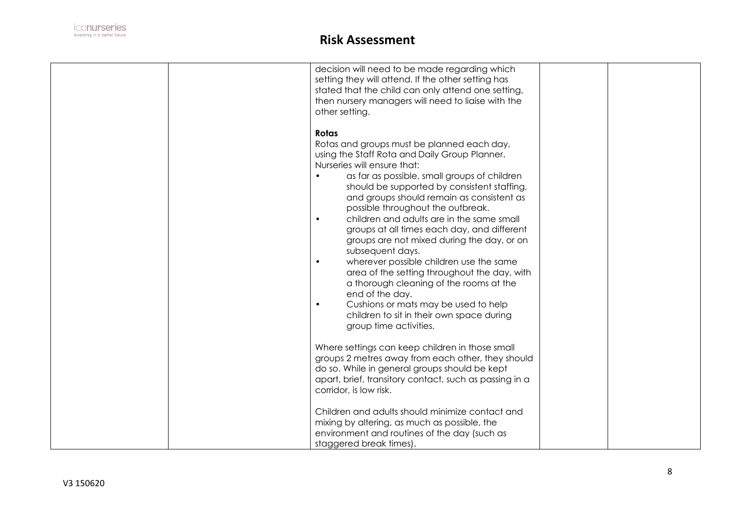

|  | decision will need to be made regarding which<br>setting they will attend. If the other setting has |  |
|--|-----------------------------------------------------------------------------------------------------|--|
|  | stated that the child can only attend one setting,                                                  |  |
|  | then nursery managers will need to liaise with the                                                  |  |
|  | other setting.                                                                                      |  |
|  |                                                                                                     |  |
|  | Rotas                                                                                               |  |
|  | Rotas and groups must be planned each day,                                                          |  |
|  | using the Staff Rota and Daily Group Planner.                                                       |  |
|  | Nurseries will ensure that:                                                                         |  |
|  | as far as possible, small groups of children                                                        |  |
|  | should be supported by consistent staffing,                                                         |  |
|  | and groups should remain as consistent as                                                           |  |
|  | possible throughout the outbreak.                                                                   |  |
|  | children and adults are in the same small<br>$\bullet$                                              |  |
|  | groups at all times each day, and different                                                         |  |
|  | groups are not mixed during the day, or on                                                          |  |
|  |                                                                                                     |  |
|  | subsequent days.<br>$\bullet$                                                                       |  |
|  | wherever possible children use the same                                                             |  |
|  | area of the setting throughout the day, with                                                        |  |
|  | a thorough cleaning of the rooms at the                                                             |  |
|  | end of the day.                                                                                     |  |
|  | Cushions or mats may be used to help<br>$\bullet$                                                   |  |
|  | children to sit in their own space during                                                           |  |
|  | group time activities.                                                                              |  |
|  |                                                                                                     |  |
|  | Where settings can keep children in those small                                                     |  |
|  | groups 2 metres away from each other, they should                                                   |  |
|  | do so. While in general groups should be kept                                                       |  |
|  | apart, brief, transitory contact, such as passing in a                                              |  |
|  | corridor, is low risk.                                                                              |  |
|  |                                                                                                     |  |
|  | Children and adults should minimize contact and                                                     |  |
|  | mixing by altering, as much as possible, the                                                        |  |
|  | environment and routines of the day (such as                                                        |  |
|  | staggered break times).                                                                             |  |
|  |                                                                                                     |  |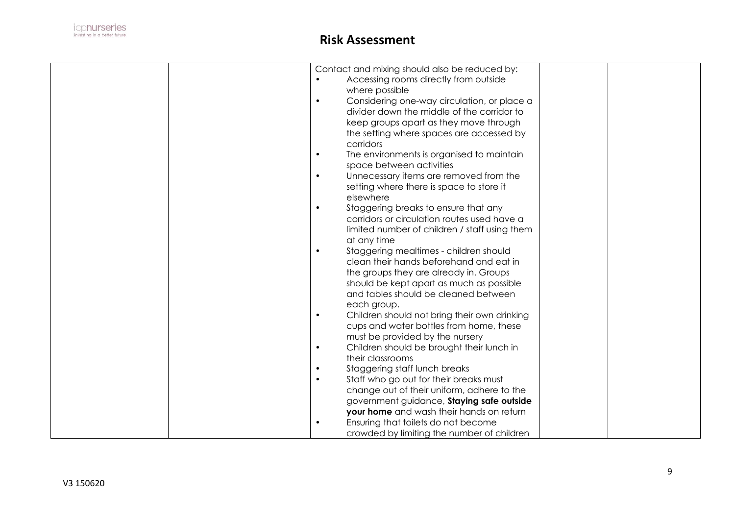

| Contact and mixing should also be reduced by:             |  |
|-----------------------------------------------------------|--|
| Accessing rooms directly from outside<br>$\bullet$        |  |
| where possible                                            |  |
| Considering one-way circulation, or place a<br>$\bullet$  |  |
| divider down the middle of the corridor to                |  |
| keep groups apart as they move through                    |  |
| the setting where spaces are accessed by                  |  |
| corridors                                                 |  |
|                                                           |  |
| The environments is organised to maintain<br>$\bullet$    |  |
| space between activities                                  |  |
| Unnecessary items are removed from the<br>$\bullet$       |  |
| setting where there is space to store it                  |  |
| elsewhere                                                 |  |
| Staggering breaks to ensure that any<br>$\bullet$         |  |
| corridors or circulation routes used have a               |  |
| limited number of children / staff using them             |  |
| at any time                                               |  |
| Staggering mealtimes - children should<br>$\bullet$       |  |
| clean their hands beforehand and eat in                   |  |
| the groups they are already in. Groups                    |  |
|                                                           |  |
| should be kept apart as much as possible                  |  |
| and tables should be cleaned between                      |  |
| each group.                                               |  |
| Children should not bring their own drinking<br>$\bullet$ |  |
| cups and water bottles from home, these                   |  |
| must be provided by the nursery                           |  |
| Children should be brought their lunch in<br>$\bullet$    |  |
| their classrooms                                          |  |
| Staggering staff lunch breaks<br>$\bullet$                |  |
| Staff who go out for their breaks must<br>$\bullet$       |  |
| change out of their uniform, adhere to the                |  |
| government guidance, Staying safe outside                 |  |
| your home and wash their hands on return                  |  |
| Ensuring that toilets do not become<br>$\bullet$          |  |
| crowded by limiting the number of children                |  |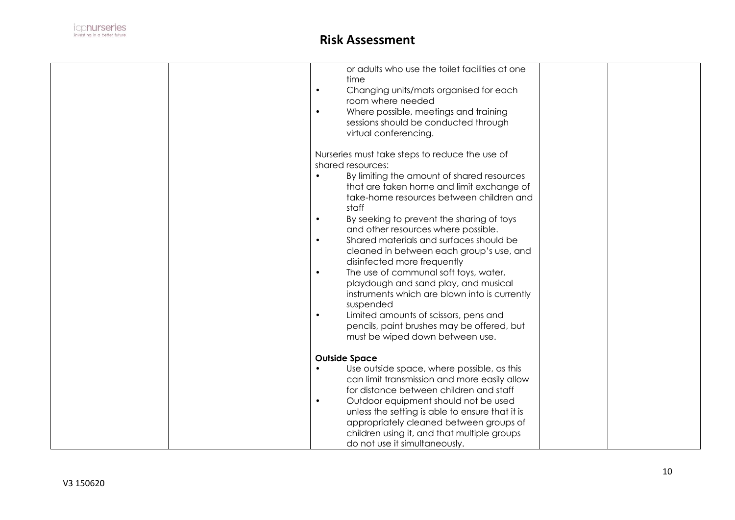

|  | or adults who use the toilet facilities at one         |
|--|--------------------------------------------------------|
|  | time                                                   |
|  | Changing units/mats organised for each<br>$\bullet$    |
|  | room where needed                                      |
|  | Where possible, meetings and training<br>$\bullet$     |
|  | sessions should be conducted through                   |
|  | virtual conferencing.                                  |
|  |                                                        |
|  | Nurseries must take steps to reduce the use of         |
|  | shared resources:                                      |
|  | By limiting the amount of shared resources             |
|  | that are taken home and limit exchange of              |
|  | take-home resources between children and               |
|  | staff                                                  |
|  | By seeking to prevent the sharing of toys<br>$\bullet$ |
|  | and other resources where possible.                    |
|  | Shared materials and surfaces should be<br>$\bullet$   |
|  | cleaned in between each group's use, and               |
|  | disinfected more frequently                            |
|  | $\bullet$                                              |
|  | The use of communal soft toys, water,                  |
|  | playdough and sand play, and musical                   |
|  | instruments which are blown into is currently          |
|  | suspended                                              |
|  | Limited amounts of scissors, pens and<br>$\bullet$     |
|  | pencils, paint brushes may be offered, but             |
|  | must be wiped down between use.                        |
|  |                                                        |
|  | <b>Outside Space</b>                                   |
|  | Use outside space, where possible, as this             |
|  | can limit transmission and more easily allow           |
|  | for distance between children and staff                |
|  | Outdoor equipment should not be used<br>$\bullet$      |
|  | unless the setting is able to ensure that it is        |
|  | appropriately cleaned between groups of                |
|  | children using it, and that multiple groups            |
|  | do not use it simultaneously.                          |
|  |                                                        |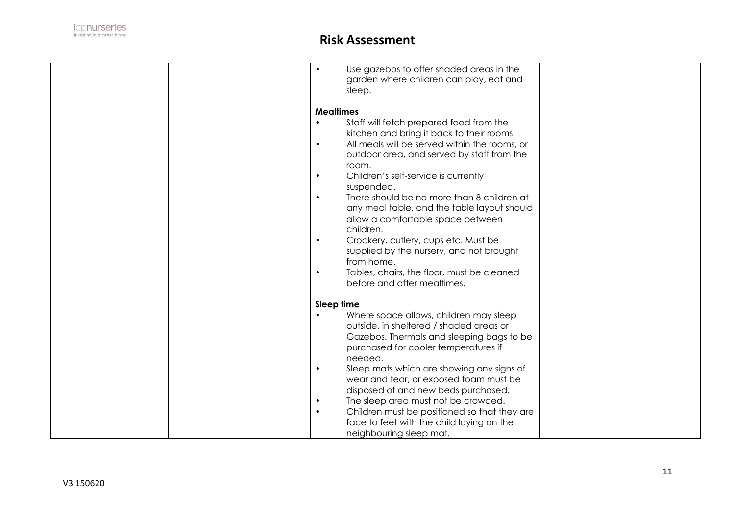

| Use gazebos to offer shaded areas in the<br>$\bullet$      |  |
|------------------------------------------------------------|--|
| garden where children can play, eat and                    |  |
| sleep.                                                     |  |
|                                                            |  |
|                                                            |  |
| <b>Mealtimes</b>                                           |  |
| Staff will fetch prepared food from the                    |  |
| kitchen and bring it back to their rooms.                  |  |
| All meals will be served within the rooms, or<br>$\bullet$ |  |
|                                                            |  |
| outdoor area, and served by staff from the                 |  |
| room.                                                      |  |
| Children's self-service is currently<br>$\bullet$          |  |
| suspended.                                                 |  |
| There should be no more than 8 children at<br>$\bullet$    |  |
|                                                            |  |
| any meal table, and the table layout should                |  |
| allow a comfortable space between                          |  |
| children.                                                  |  |
| Crockery, cutlery, cups etc. Must be<br>$\bullet$          |  |
| supplied by the nursery, and not brought                   |  |
| from home.                                                 |  |
|                                                            |  |
| Tables, chairs, the floor, must be cleaned<br>$\bullet$    |  |
| before and after mealtimes.                                |  |
|                                                            |  |
| Sleep time                                                 |  |
| Where space allows, children may sleep                     |  |
|                                                            |  |
| outside, in sheltered / shaded areas or                    |  |
| Gazebos. Thermals and sleeping bags to be                  |  |
| purchased for cooler temperatures if                       |  |
| needed.                                                    |  |
| Sleep mats which are showing any signs of<br>$\bullet$     |  |
| wear and tear, or exposed foam must be                     |  |
|                                                            |  |
| disposed of and new beds purchased.                        |  |
| The sleep area must not be crowded.<br>$\bullet$           |  |
| Children must be positioned so that they are<br>$\bullet$  |  |
| face to feet with the child laying on the                  |  |
| neighbouring sleep mat.                                    |  |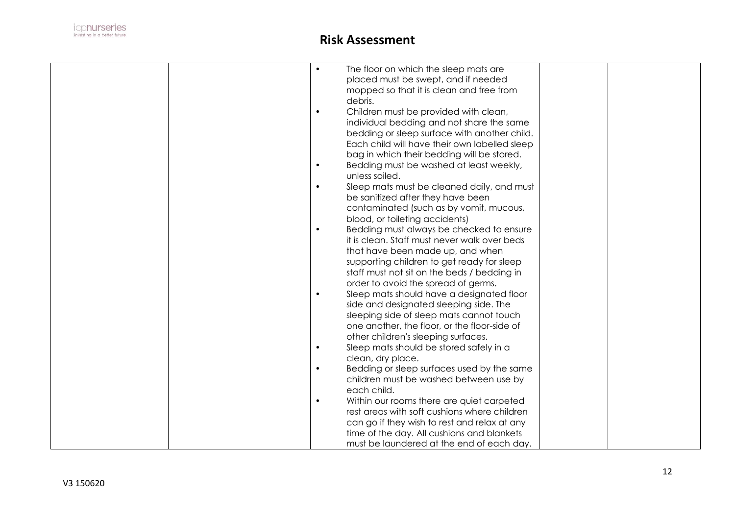

|  | $\bullet$ | The floor on which the sleep mats are         |  |
|--|-----------|-----------------------------------------------|--|
|  |           | placed must be swept, and if needed           |  |
|  |           | mopped so that it is clean and free from      |  |
|  |           | debris.                                       |  |
|  | $\bullet$ | Children must be provided with clean,         |  |
|  |           | individual bedding and not share the same     |  |
|  |           |                                               |  |
|  |           | bedding or sleep surface with another child.  |  |
|  |           | Each child will have their own labelled sleep |  |
|  |           | bag in which their bedding will be stored.    |  |
|  | ٠         | Bedding must be washed at least weekly,       |  |
|  |           | unless soiled.                                |  |
|  | $\bullet$ | Sleep mats must be cleaned daily, and must    |  |
|  |           | be sanitized after they have been             |  |
|  |           | contaminated (such as by vomit, mucous,       |  |
|  |           | blood, or toileting accidents)                |  |
|  | $\bullet$ | Bedding must always be checked to ensure      |  |
|  |           | it is clean. Staff must never walk over beds  |  |
|  |           | that have been made up, and when              |  |
|  |           | supporting children to get ready for sleep    |  |
|  |           | staff must not sit on the beds / bedding in   |  |
|  |           |                                               |  |
|  |           | order to avoid the spread of germs.           |  |
|  | $\bullet$ | Sleep mats should have a designated floor     |  |
|  |           | side and designated sleeping side. The        |  |
|  |           | sleeping side of sleep mats cannot touch      |  |
|  |           | one another, the floor, or the floor-side of  |  |
|  |           | other children's sleeping surfaces.           |  |
|  | $\bullet$ | Sleep mats should be stored safely in a       |  |
|  |           | clean, dry place.                             |  |
|  | $\bullet$ | Bedding or sleep surfaces used by the same    |  |
|  |           | children must be washed between use by        |  |
|  |           | each child.                                   |  |
|  | $\bullet$ | Within our rooms there are quiet carpeted     |  |
|  |           | rest areas with soft cushions where children  |  |
|  |           | can go if they wish to rest and relax at any  |  |
|  |           | time of the day. All cushions and blankets    |  |
|  |           | must be laundered at the end of each day.     |  |
|  |           |                                               |  |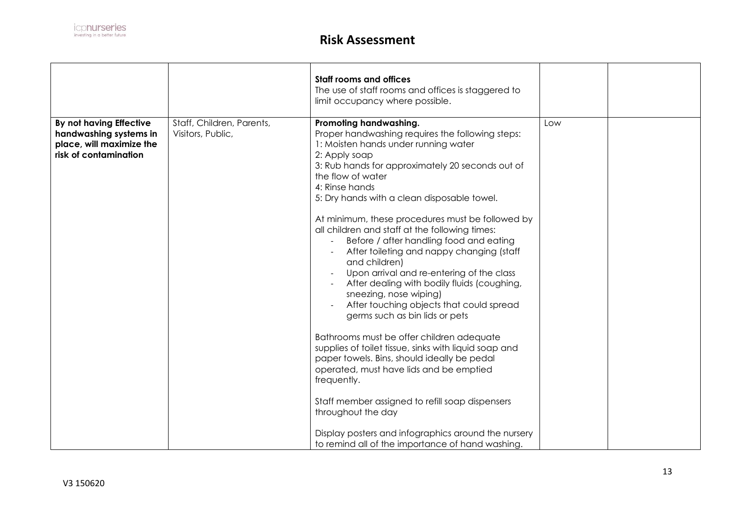|                                                                                                        |                                                | <b>Staff rooms and offices</b><br>The use of staff rooms and offices is staggered to<br>limit occupancy where possible.                                                                                                                                                                                                                                                                                                                                                                                                                                                                                                                                                                                                                                                                                                                                                                                                                                                                                                                                                                             |     |  |
|--------------------------------------------------------------------------------------------------------|------------------------------------------------|-----------------------------------------------------------------------------------------------------------------------------------------------------------------------------------------------------------------------------------------------------------------------------------------------------------------------------------------------------------------------------------------------------------------------------------------------------------------------------------------------------------------------------------------------------------------------------------------------------------------------------------------------------------------------------------------------------------------------------------------------------------------------------------------------------------------------------------------------------------------------------------------------------------------------------------------------------------------------------------------------------------------------------------------------------------------------------------------------------|-----|--|
| By not having Effective<br>handwashing systems in<br>place, will maximize the<br>risk of contamination | Staff, Children, Parents,<br>Visitors, Public, | Promoting handwashing.<br>Proper handwashing requires the following steps:<br>1: Moisten hands under running water<br>2: Apply soap<br>3: Rub hands for approximately 20 seconds out of<br>the flow of water<br>4: Rinse hands<br>5: Dry hands with a clean disposable towel.<br>At minimum, these procedures must be followed by<br>all children and staff at the following times:<br>Before / after handling food and eating<br>After toileting and nappy changing (staff<br>and children)<br>Upon arrival and re-entering of the class<br>After dealing with bodily fluids (coughing,<br>sneezing, nose wiping)<br>After touching objects that could spread<br>germs such as bin lids or pets<br>Bathrooms must be offer children adequate<br>supplies of toilet tissue, sinks with liquid soap and<br>paper towels. Bins, should ideally be pedal<br>operated, must have lids and be emptied<br>frequently.<br>Staff member assigned to refill soap dispensers<br>throughout the day<br>Display posters and infographics around the nursery<br>to remind all of the importance of hand washing. | Low |  |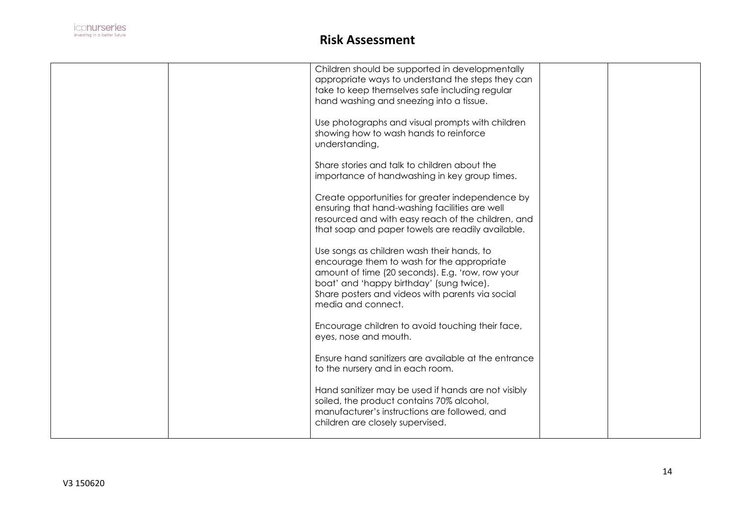

|  | Children should be supported in developmentally      |  |
|--|------------------------------------------------------|--|
|  | appropriate ways to understand the steps they can    |  |
|  | take to keep themselves safe including regular       |  |
|  | hand washing and sneezing into a tissue.             |  |
|  |                                                      |  |
|  | Use photographs and visual prompts with children     |  |
|  | showing how to wash hands to reinforce               |  |
|  |                                                      |  |
|  | understanding,                                       |  |
|  |                                                      |  |
|  | Share stories and talk to children about the         |  |
|  | importance of handwashing in key group times.        |  |
|  |                                                      |  |
|  | Create opportunities for greater independence by     |  |
|  | ensuring that hand-washing facilities are well       |  |
|  | resourced and with easy reach of the children, and   |  |
|  | that soap and paper towels are readily available.    |  |
|  |                                                      |  |
|  | Use songs as children wash their hands, to           |  |
|  | encourage them to wash for the appropriate           |  |
|  | amount of time (20 seconds). E.g. 'row, row your     |  |
|  | boat' and 'happy birthday' (sung twice).             |  |
|  | Share posters and videos with parents via social     |  |
|  | media and connect.                                   |  |
|  |                                                      |  |
|  | Encourage children to avoid touching their face,     |  |
|  | eyes, nose and mouth.                                |  |
|  |                                                      |  |
|  | Ensure hand sanitizers are available at the entrance |  |
|  |                                                      |  |
|  | to the nursery and in each room.                     |  |
|  |                                                      |  |
|  | Hand sanitizer may be used if hands are not visibly  |  |
|  | soiled, the product contains 70% alcohol,            |  |
|  | manufacturer's instructions are followed, and        |  |
|  | children are closely supervised.                     |  |
|  |                                                      |  |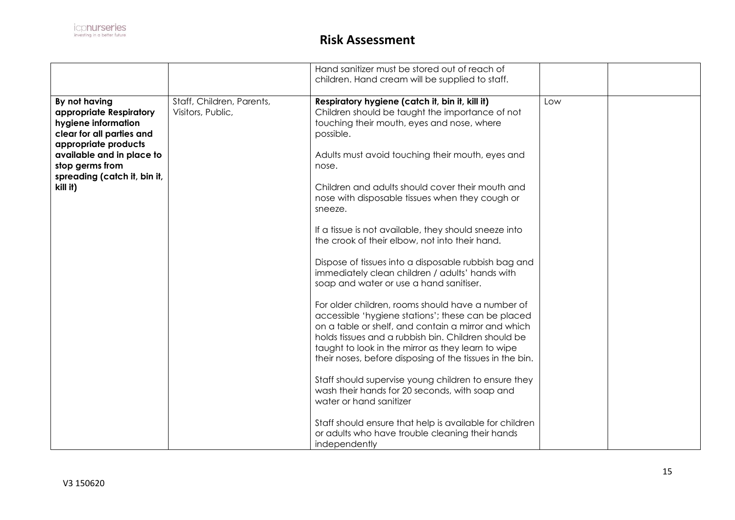|                              |                           | Hand sanitizer must be stored out of reach of            |     |  |
|------------------------------|---------------------------|----------------------------------------------------------|-----|--|
|                              |                           |                                                          |     |  |
|                              |                           | children. Hand cream will be supplied to staff.          |     |  |
|                              |                           |                                                          |     |  |
| By not having                | Staff, Children, Parents, | Respiratory hygiene (catch it, bin it, kill it)          | Low |  |
| appropriate Respiratory      | Visitors, Public,         | Children should be taught the importance of not          |     |  |
| hygiene information          |                           | touching their mouth, eyes and nose, where               |     |  |
| clear for all parties and    |                           | possible.                                                |     |  |
| appropriate products         |                           |                                                          |     |  |
| available and in place to    |                           | Adults must avoid touching their mouth, eyes and         |     |  |
| stop germs from              |                           | nose.                                                    |     |  |
|                              |                           |                                                          |     |  |
| spreading (catch it, bin it, |                           | Children and adults should cover their mouth and         |     |  |
| kill it)                     |                           |                                                          |     |  |
|                              |                           | nose with disposable tissues when they cough or          |     |  |
|                              |                           | sneeze.                                                  |     |  |
|                              |                           |                                                          |     |  |
|                              |                           | If a tissue is not available, they should sneeze into    |     |  |
|                              |                           | the crook of their elbow, not into their hand.           |     |  |
|                              |                           |                                                          |     |  |
|                              |                           | Dispose of tissues into a disposable rubbish bag and     |     |  |
|                              |                           | immediately clean children / adults' hands with          |     |  |
|                              |                           | soap and water or use a hand sanitiser.                  |     |  |
|                              |                           |                                                          |     |  |
|                              |                           | For older children, rooms should have a number of        |     |  |
|                              |                           | accessible 'hygiene stations'; these can be placed       |     |  |
|                              |                           | on a table or shelf, and contain a mirror and which      |     |  |
|                              |                           |                                                          |     |  |
|                              |                           | holds tissues and a rubbish bin. Children should be      |     |  |
|                              |                           | taught to look in the mirror as they learn to wipe       |     |  |
|                              |                           | their noses, before disposing of the tissues in the bin. |     |  |
|                              |                           |                                                          |     |  |
|                              |                           | Staff should supervise young children to ensure they     |     |  |
|                              |                           | wash their hands for 20 seconds, with soap and           |     |  |
|                              |                           | water or hand sanitizer                                  |     |  |
|                              |                           |                                                          |     |  |
|                              |                           | Staff should ensure that help is available for children  |     |  |
|                              |                           | or adults who have trouble cleaning their hands          |     |  |
|                              |                           | independently                                            |     |  |
|                              |                           |                                                          |     |  |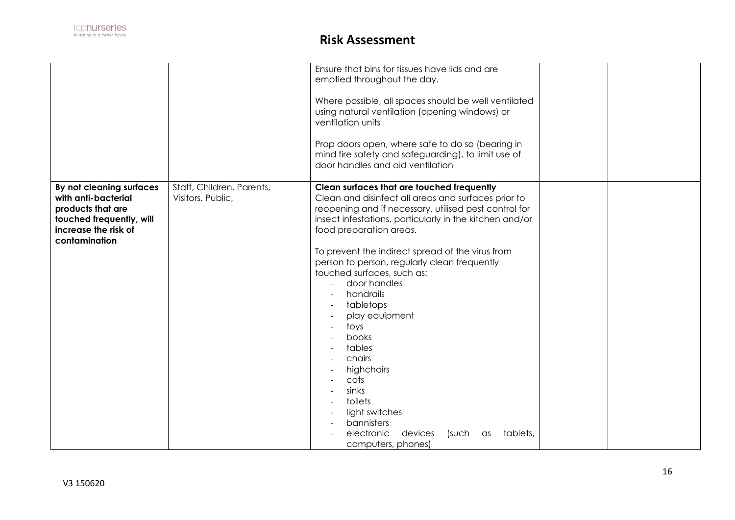|                                                                                                                                           |                                                | Ensure that bins for tissues have lids and are<br>emptied throughout the day.<br>Where possible, all spaces should be well ventilated<br>using natural ventilation (opening windows) or<br>ventilation units<br>Prop doors open, where safe to do so (bearing in<br>mind fire safety and safeguarding), to limit use of<br>door handles and aid ventilation                                                                                                                                                                                                                                                                             |  |
|-------------------------------------------------------------------------------------------------------------------------------------------|------------------------------------------------|-----------------------------------------------------------------------------------------------------------------------------------------------------------------------------------------------------------------------------------------------------------------------------------------------------------------------------------------------------------------------------------------------------------------------------------------------------------------------------------------------------------------------------------------------------------------------------------------------------------------------------------------|--|
| By not cleaning surfaces<br>with anti-bacterial<br>products that are<br>touched frequently, will<br>increase the risk of<br>contamination | Staff, Children, Parents,<br>Visitors, Public, | Clean surfaces that are touched frequently<br>Clean and disinfect all areas and surfaces prior to<br>reopening and if necessary, utilised pest control for<br>insect infestations, particularly in the kitchen and/or<br>food preparation areas.<br>To prevent the indirect spread of the virus from<br>person to person, regularly clean frequently<br>touched surfaces, such as:<br>door handles<br>handrails<br>tabletops<br>play equipment<br>toys<br>books<br>tables<br>chairs<br>highchairs<br>cots<br>sinks<br>toilets<br>light switches<br>bannisters<br>electronic<br>devices<br>tablets,<br>(such<br>as<br>computers, phones) |  |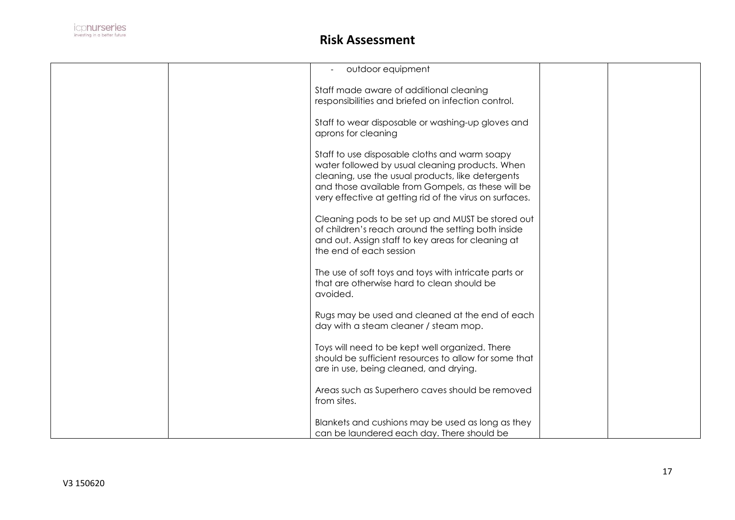

| outdoor equipment                                              |  |
|----------------------------------------------------------------|--|
|                                                                |  |
| Staff made aware of additional cleaning                        |  |
| responsibilities and briefed on infection control.             |  |
| Staff to wear disposable or washing-up gloves and              |  |
| aprons for cleaning                                            |  |
|                                                                |  |
| Staff to use disposable cloths and warm soapy                  |  |
| water followed by usual cleaning products. When                |  |
| cleaning, use the usual products, like detergents              |  |
| and those available from Gompels, as these will be             |  |
| very effective at getting rid of the virus on surfaces.        |  |
| Cleaning pods to be set up and MUST be stored out              |  |
| of children's reach around the setting both inside             |  |
| and out. Assign staff to key areas for cleaning at             |  |
| the end of each session                                        |  |
|                                                                |  |
| The use of soft toys and toys with intricate parts or          |  |
| that are otherwise hard to clean should be                     |  |
| avoided.                                                       |  |
| Rugs may be used and cleaned at the end of each                |  |
| day with a steam cleaner / steam mop.                          |  |
|                                                                |  |
| Toys will need to be kept well organized. There                |  |
| should be sufficient resources to allow for some that          |  |
| are in use, being cleaned, and drying.                         |  |
|                                                                |  |
| Areas such as Superhero caves should be removed<br>from sites. |  |
|                                                                |  |
| Blankets and cushions may be used as long as they              |  |
| can be laundered each day. There should be                     |  |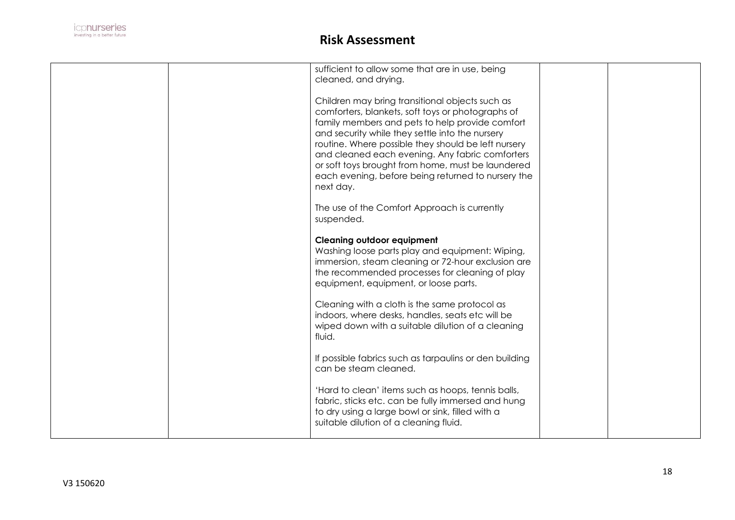

|  | sufficient to allow some that are in use, being<br>cleaned, and drying.<br>Children may bring transitional objects such as<br>comforters, blankets, soft toys or photographs of<br>family members and pets to help provide comfort<br>and security while they settle into the nursery<br>routine. Where possible they should be left nursery<br>and cleaned each evening. Any fabric comforters |  |
|--|-------------------------------------------------------------------------------------------------------------------------------------------------------------------------------------------------------------------------------------------------------------------------------------------------------------------------------------------------------------------------------------------------|--|
|  | or soft toys brought from home, must be laundered<br>each evening, before being returned to nursery the<br>next day.                                                                                                                                                                                                                                                                            |  |
|  | The use of the Comfort Approach is currently<br>suspended.                                                                                                                                                                                                                                                                                                                                      |  |
|  | <b>Cleaning outdoor equipment</b><br>Washing loose parts play and equipment: Wiping,<br>immersion, steam cleaning or 72-hour exclusion are<br>the recommended processes for cleaning of play<br>equipment, equipment, or loose parts.                                                                                                                                                           |  |
|  | Cleaning with a cloth is the same protocol as<br>indoors, where desks, handles, seats etc will be<br>wiped down with a suitable dilution of a cleaning<br>fluid.                                                                                                                                                                                                                                |  |
|  | If possible fabrics such as tarpaulins or den building<br>can be steam cleaned.                                                                                                                                                                                                                                                                                                                 |  |
|  | 'Hard to clean' items such as hoops, tennis balls,<br>fabric, sticks etc. can be fully immersed and hung<br>to dry using a large bowl or sink, filled with a<br>suitable dilution of a cleaning fluid.                                                                                                                                                                                          |  |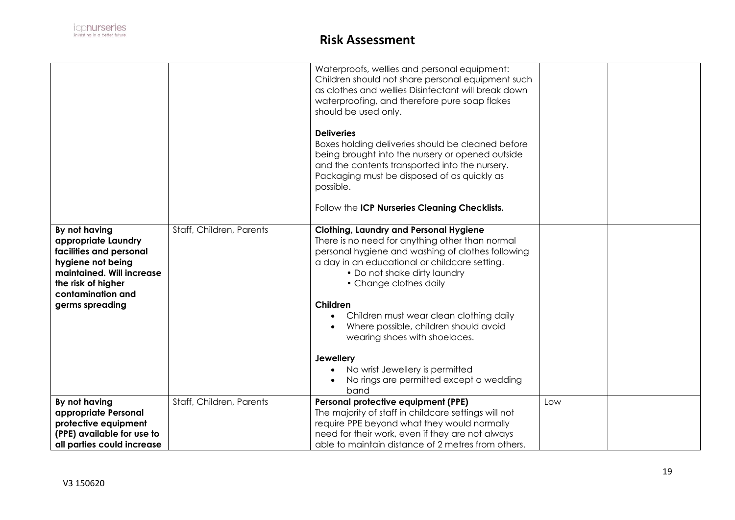|                                                                                                                                                                                 |                          | Waterproofs, wellies and personal equipment:<br>Children should not share personal equipment such<br>as clothes and wellies Disinfectant will break down<br>waterproofing, and therefore pure soap flakes<br>should be used only.<br><b>Deliveries</b><br>Boxes holding deliveries should be cleaned before<br>being brought into the nursery or opened outside<br>and the contents transported into the nursery.<br>Packaging must be disposed of as quickly as<br>possible.                       |     |  |
|---------------------------------------------------------------------------------------------------------------------------------------------------------------------------------|--------------------------|-----------------------------------------------------------------------------------------------------------------------------------------------------------------------------------------------------------------------------------------------------------------------------------------------------------------------------------------------------------------------------------------------------------------------------------------------------------------------------------------------------|-----|--|
|                                                                                                                                                                                 |                          | Follow the ICP Nurseries Cleaning Checklists.                                                                                                                                                                                                                                                                                                                                                                                                                                                       |     |  |
| By not having<br>appropriate Laundry<br>facilities and personal<br>hygiene not being<br>maintained. Will increase<br>the risk of higher<br>contamination and<br>germs spreading | Staff, Children, Parents | <b>Clothing, Laundry and Personal Hygiene</b><br>There is no need for anything other than normal<br>personal hygiene and washing of clothes following<br>a day in an educational or childcare setting.<br>• Do not shake dirty laundry<br>• Change clothes daily<br>Children<br>Children must wear clean clothing daily<br>Where possible, children should avoid<br>wearing shoes with shoelaces.<br><b>Jewellery</b><br>No wrist Jewellery is permitted<br>No rings are permitted except a wedding |     |  |
| By not having<br>appropriate Personal<br>protective equipment<br>(PPE) available for use to                                                                                     | Staff, Children, Parents | band<br>Personal protective equipment (PPE)<br>The majority of staff in childcare settings will not<br>require PPE beyond what they would normally<br>need for their work, even if they are not always                                                                                                                                                                                                                                                                                              | Low |  |
| all parties could increase                                                                                                                                                      |                          | able to maintain distance of 2 metres from others.                                                                                                                                                                                                                                                                                                                                                                                                                                                  |     |  |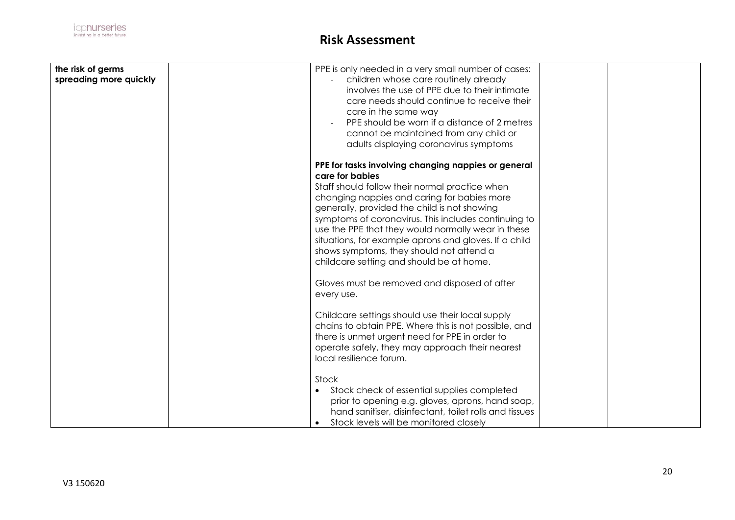| the risk of germs      | PPE is only needed in a very small number of cases:    |  |
|------------------------|--------------------------------------------------------|--|
|                        |                                                        |  |
| spreading more quickly | children whose care routinely already                  |  |
|                        | involves the use of PPE due to their intimate          |  |
|                        | care needs should continue to receive their            |  |
|                        |                                                        |  |
|                        | care in the same way                                   |  |
|                        | PPE should be worn if a distance of 2 metres           |  |
|                        | cannot be maintained from any child or                 |  |
|                        | adults displaying coronavirus symptoms                 |  |
|                        |                                                        |  |
|                        | PPE for tasks involving changing nappies or general    |  |
|                        | care for babies                                        |  |
|                        | Staff should follow their normal practice when         |  |
|                        |                                                        |  |
|                        | changing nappies and caring for babies more            |  |
|                        | generally, provided the child is not showing           |  |
|                        | symptoms of coronavirus. This includes continuing to   |  |
|                        | use the PPE that they would normally wear in these     |  |
|                        | situations, for example aprons and gloves. If a child  |  |
|                        |                                                        |  |
|                        | shows symptoms, they should not attend a               |  |
|                        | childcare setting and should be at home.               |  |
|                        |                                                        |  |
|                        | Gloves must be removed and disposed of after           |  |
|                        | every use.                                             |  |
|                        |                                                        |  |
|                        | Childcare settings should use their local supply       |  |
|                        | chains to obtain PPE. Where this is not possible, and  |  |
|                        |                                                        |  |
|                        | there is unmet urgent need for PPE in order to         |  |
|                        | operate safely, they may approach their nearest        |  |
|                        | local resilience forum.                                |  |
|                        |                                                        |  |
|                        | Stock                                                  |  |
|                        | Stock check of essential supplies completed            |  |
|                        | prior to opening e.g. gloves, aprons, hand soap,       |  |
|                        |                                                        |  |
|                        | hand sanitiser, disinfectant, toilet rolls and tissues |  |
|                        | Stock levels will be monitored closely                 |  |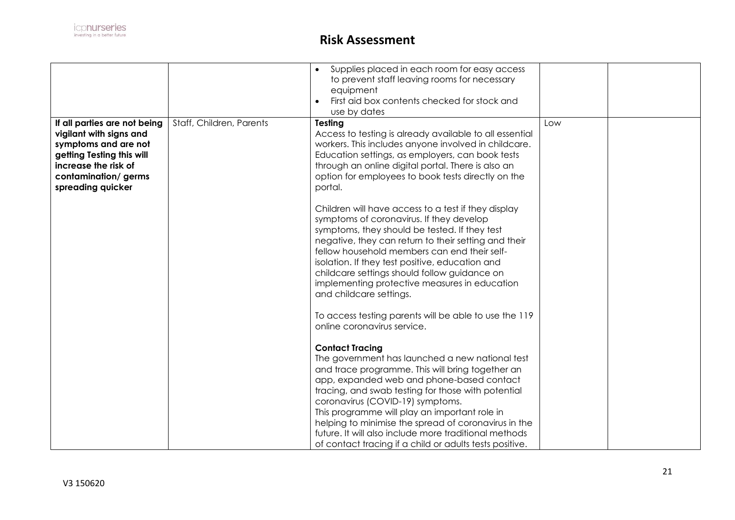|                                                                                                                                                                                  |                          | Supplies placed in each room for easy access<br>to prevent staff leaving rooms for necessary<br>equipment<br>First aid box contents checked for stock and<br>use by dates                                                                                                                                                                                                                                                                                                                                                                                                                 |     |  |
|----------------------------------------------------------------------------------------------------------------------------------------------------------------------------------|--------------------------|-------------------------------------------------------------------------------------------------------------------------------------------------------------------------------------------------------------------------------------------------------------------------------------------------------------------------------------------------------------------------------------------------------------------------------------------------------------------------------------------------------------------------------------------------------------------------------------------|-----|--|
| If all parties are not being<br>vigilant with signs and<br>symptoms and are not<br>getting Testing this will<br>increase the risk of<br>contamination/germs<br>spreading quicker | Staff, Children, Parents | Testing<br>Access to testing is already available to all essential<br>workers. This includes anyone involved in childcare.<br>Education settings, as employers, can book tests<br>through an online digital portal. There is also an<br>option for employees to book tests directly on the<br>portal.                                                                                                                                                                                                                                                                                     | Low |  |
|                                                                                                                                                                                  |                          | Children will have access to a test if they display<br>symptoms of coronavirus. If they develop<br>symptoms, they should be tested. If they test<br>negative, they can return to their setting and their<br>fellow household members can end their self-<br>isolation. If they test positive, education and<br>childcare settings should follow guidance on<br>implementing protective measures in education<br>and childcare settings.                                                                                                                                                   |     |  |
|                                                                                                                                                                                  |                          | To access testing parents will be able to use the 119<br>online coronavirus service.<br><b>Contact Tracing</b><br>The government has launched a new national test<br>and trace programme. This will bring together an<br>app, expanded web and phone-based contact<br>tracing, and swab testing for those with potential<br>coronavirus (COVID-19) symptoms.<br>This programme will play an important role in<br>helping to minimise the spread of coronavirus in the<br>future. It will also include more traditional methods<br>of contact tracing if a child or adults tests positive. |     |  |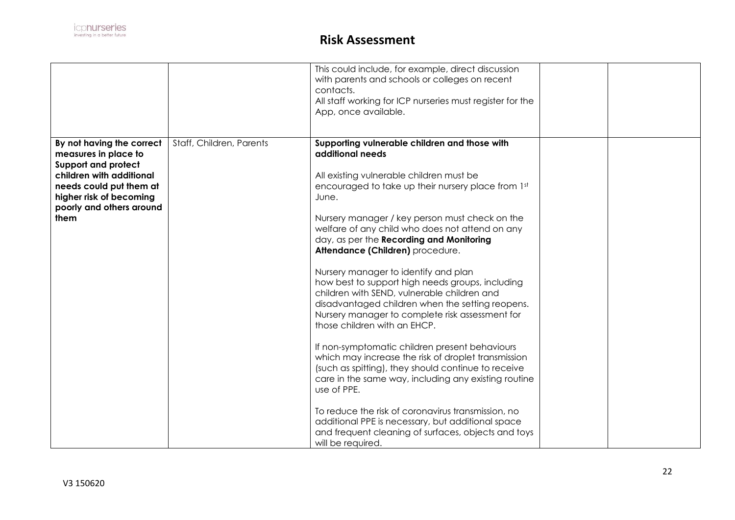|                                                                                                                                                                                                       |                          | This could include, for example, direct discussion<br>with parents and schools or colleges on recent<br>contacts.<br>All staff working for ICP nurseries must register for the<br>App, once available.                                                                                                                                                                                                                                                                                                                                                                                                                                                                                                                                                                                                                                                                                                                                                                                                                                                                            |  |
|-------------------------------------------------------------------------------------------------------------------------------------------------------------------------------------------------------|--------------------------|-----------------------------------------------------------------------------------------------------------------------------------------------------------------------------------------------------------------------------------------------------------------------------------------------------------------------------------------------------------------------------------------------------------------------------------------------------------------------------------------------------------------------------------------------------------------------------------------------------------------------------------------------------------------------------------------------------------------------------------------------------------------------------------------------------------------------------------------------------------------------------------------------------------------------------------------------------------------------------------------------------------------------------------------------------------------------------------|--|
| By not having the correct<br>measures in place to<br><b>Support and protect</b><br>children with additional<br>needs could put them at<br>higher risk of becoming<br>poorly and others around<br>them | Staff, Children, Parents | Supporting vulnerable children and those with<br>additional needs<br>All existing vulnerable children must be<br>encouraged to take up their nursery place from 1st<br>June.<br>Nursery manager / key person must check on the<br>welfare of any child who does not attend on any<br>day, as per the Recording and Monitoring<br>Attendance (Children) procedure.<br>Nursery manager to identify and plan<br>how best to support high needs groups, including<br>children with SEND, vulnerable children and<br>disadvantaged children when the setting reopens.<br>Nursery manager to complete risk assessment for<br>those children with an EHCP.<br>If non-symptomatic children present behaviours<br>which may increase the risk of droplet transmission<br>(such as spitting), they should continue to receive<br>care in the same way, including any existing routine<br>use of PPE.<br>To reduce the risk of coronavirus transmission, no<br>additional PPE is necessary, but additional space<br>and frequent cleaning of surfaces, objects and toys<br>will be required. |  |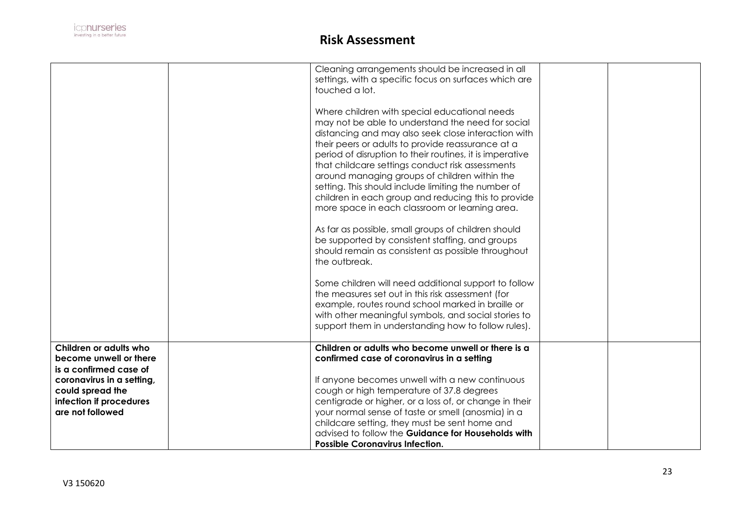

|                                                                                                         | Cleaning arrangements should be increased in all<br>settings, with a specific focus on surfaces which are<br>touched a lot.                                                                                                                                                                                                                                                                                                                                                                                                                     |  |
|---------------------------------------------------------------------------------------------------------|-------------------------------------------------------------------------------------------------------------------------------------------------------------------------------------------------------------------------------------------------------------------------------------------------------------------------------------------------------------------------------------------------------------------------------------------------------------------------------------------------------------------------------------------------|--|
|                                                                                                         | Where children with special educational needs<br>may not be able to understand the need for social<br>distancing and may also seek close interaction with<br>their peers or adults to provide reassurance at a<br>period of disruption to their routines, it is imperative<br>that childcare settings conduct risk assessments<br>around managing groups of children within the<br>setting. This should include limiting the number of<br>children in each group and reducing this to provide<br>more space in each classroom or learning area. |  |
|                                                                                                         | As far as possible, small groups of children should<br>be supported by consistent staffing, and groups<br>should remain as consistent as possible throughout<br>the outbreak.                                                                                                                                                                                                                                                                                                                                                                   |  |
|                                                                                                         | Some children will need additional support to follow<br>the measures set out in this risk assessment (for<br>example, routes round school marked in braille or<br>with other meaningful symbols, and social stories to<br>support them in understanding how to follow rules).                                                                                                                                                                                                                                                                   |  |
| Children or adults who<br>become unwell or there<br>is a confirmed case of<br>coronavirus in a setting, | Children or adults who become unwell or there is a<br>confirmed case of coronavirus in a setting<br>If anyone becomes unwell with a new continuous                                                                                                                                                                                                                                                                                                                                                                                              |  |
| could spread the<br>infection if procedures<br>are not followed                                         | cough or high temperature of 37.8 degrees<br>centigrade or higher, or a loss of, or change in their<br>your normal sense of taste or smell (anosmia) in a<br>childcare setting, they must be sent home and<br>advised to follow the Guidance for Households with<br><b>Possible Coronavirus Infection.</b>                                                                                                                                                                                                                                      |  |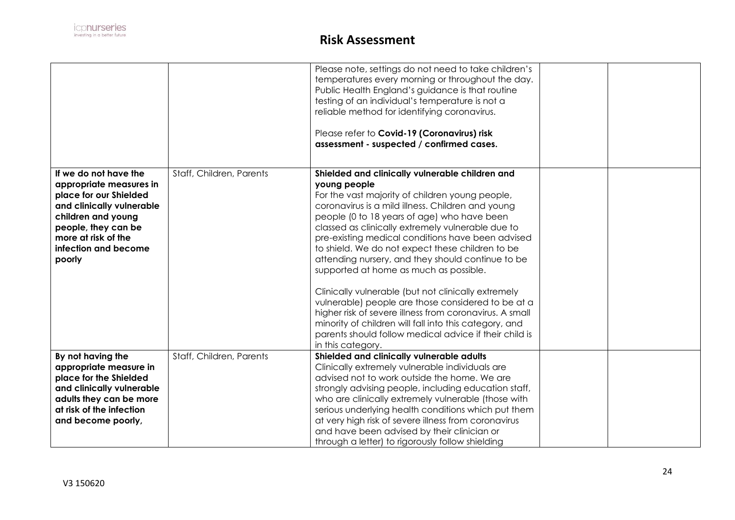

|                                                                                                                                                                                                               |                          | Please note, settings do not need to take children's<br>temperatures every morning or throughout the day.<br>Public Health England's guidance is that routine<br>testing of an individual's temperature is not a<br>reliable method for identifying coronavirus.<br>Please refer to Covid-19 (Coronavirus) risk<br>assessment - suspected / confirmed cases.                                                                                                                                                                                                                                                                                                                                                                                                                                         |  |
|---------------------------------------------------------------------------------------------------------------------------------------------------------------------------------------------------------------|--------------------------|------------------------------------------------------------------------------------------------------------------------------------------------------------------------------------------------------------------------------------------------------------------------------------------------------------------------------------------------------------------------------------------------------------------------------------------------------------------------------------------------------------------------------------------------------------------------------------------------------------------------------------------------------------------------------------------------------------------------------------------------------------------------------------------------------|--|
| If we do not have the<br>appropriate measures in<br>place for our Shielded<br>and clinically vulnerable<br>children and young<br>people, they can be<br>more at risk of the<br>infection and become<br>poorly | Staff, Children, Parents | Shielded and clinically vulnerable children and<br>young people<br>For the vast majority of children young people,<br>coronavirus is a mild illness. Children and young<br>people (0 to 18 years of age) who have been<br>classed as clinically extremely vulnerable due to<br>pre-existing medical conditions have been advised<br>to shield. We do not expect these children to be<br>attending nursery, and they should continue to be<br>supported at home as much as possible.<br>Clinically vulnerable (but not clinically extremely<br>vulnerable) people are those considered to be at a<br>higher risk of severe illness from coronavirus. A small<br>minority of children will fall into this category, and<br>parents should follow medical advice if their child is<br>in this category. |  |
| By not having the<br>appropriate measure in<br>place for the Shielded<br>and clinically vulnerable<br>adults they can be more<br>at risk of the infection<br>and become poorly,                               | Staff, Children, Parents | Shielded and clinically vulnerable adults<br>Clinically extremely vulnerable individuals are<br>advised not to work outside the home. We are<br>strongly advising people, including education staff,<br>who are clinically extremely vulnerable (those with<br>serious underlying health conditions which put them<br>at very high risk of severe illness from coronavirus<br>and have been advised by their clinician or<br>through a letter) to rigorously follow shielding                                                                                                                                                                                                                                                                                                                        |  |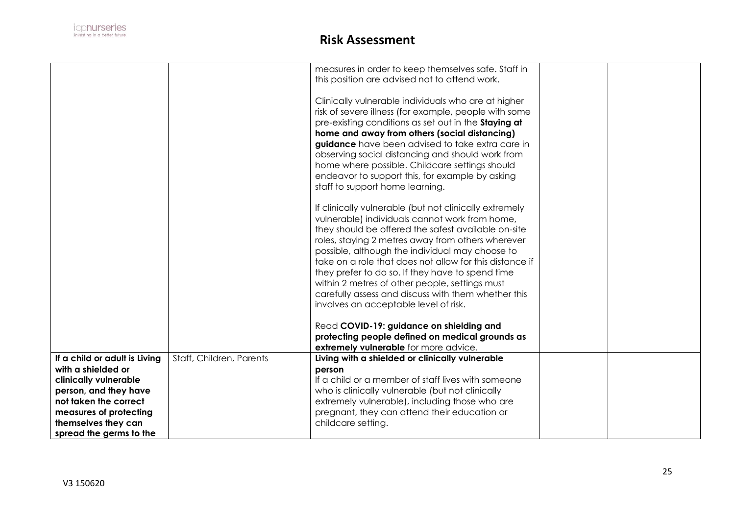

|                                                                                                                                                                                                            |                          | measures in order to keep themselves safe. Staff in<br>this position are advised not to attend work.                                                                                                                                                                                                                                                                                                                                                                                                                                     |  |
|------------------------------------------------------------------------------------------------------------------------------------------------------------------------------------------------------------|--------------------------|------------------------------------------------------------------------------------------------------------------------------------------------------------------------------------------------------------------------------------------------------------------------------------------------------------------------------------------------------------------------------------------------------------------------------------------------------------------------------------------------------------------------------------------|--|
|                                                                                                                                                                                                            |                          | Clinically vulnerable individuals who are at higher<br>risk of severe illness (for example, people with some<br>pre-existing conditions as set out in the Staying at<br>home and away from others (social distancing)<br>guidance have been advised to take extra care in<br>observing social distancing and should work from<br>home where possible. Childcare settings should<br>endeavor to support this, for example by asking<br>staff to support home learning.                                                                    |  |
|                                                                                                                                                                                                            |                          | If clinically vulnerable (but not clinically extremely<br>vulnerable) individuals cannot work from home,<br>they should be offered the safest available on-site<br>roles, staying 2 metres away from others wherever<br>possible, although the individual may choose to<br>take on a role that does not allow for this distance if<br>they prefer to do so. If they have to spend time<br>within 2 metres of other people, settings must<br>carefully assess and discuss with them whether this<br>involves an acceptable level of risk. |  |
|                                                                                                                                                                                                            |                          | Read COVID-19: guidance on shielding and<br>protecting people defined on medical grounds as<br>extremely vulnerable for more advice.                                                                                                                                                                                                                                                                                                                                                                                                     |  |
| If a child or adult is Living<br>with a shielded or<br>clinically vulnerable<br>person, and they have<br>not taken the correct<br>measures of protecting<br>themselves they can<br>spread the germs to the | Staff, Children, Parents | Living with a shielded or clinically vulnerable<br>person<br>If a child or a member of staff lives with someone<br>who is clinically vulnerable (but not clinically<br>extremely vulnerable), including those who are<br>pregnant, they can attend their education or<br>childcare setting.                                                                                                                                                                                                                                              |  |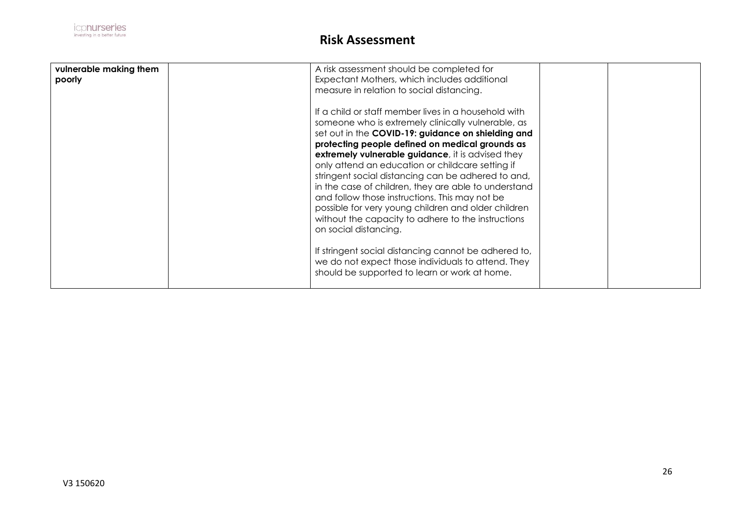| vulnerable making them<br>poorly | A risk assessment should be completed for<br>Expectant Mothers, which includes additional<br>measure in relation to social distancing.                                                                                                                                                                                                                                                                                                                                                                                                              |  |
|----------------------------------|-----------------------------------------------------------------------------------------------------------------------------------------------------------------------------------------------------------------------------------------------------------------------------------------------------------------------------------------------------------------------------------------------------------------------------------------------------------------------------------------------------------------------------------------------------|--|
|                                  | If a child or staff member lives in a household with<br>someone who is extremely clinically vulnerable, as<br>set out in the COVID-19: guidance on shielding and<br>protecting people defined on medical grounds as<br>extremely vulnerable guidance, it is advised they<br>only attend an education or childcare setting if<br>stringent social distancing can be adhered to and,<br>in the case of children, they are able to understand<br>and follow those instructions. This may not be<br>possible for very young children and older children |  |
|                                  | without the capacity to adhere to the instructions<br>on social distancing.<br>If stringent social distancing cannot be adhered to,<br>we do not expect those individuals to attend. They<br>should be supported to learn or work at home.                                                                                                                                                                                                                                                                                                          |  |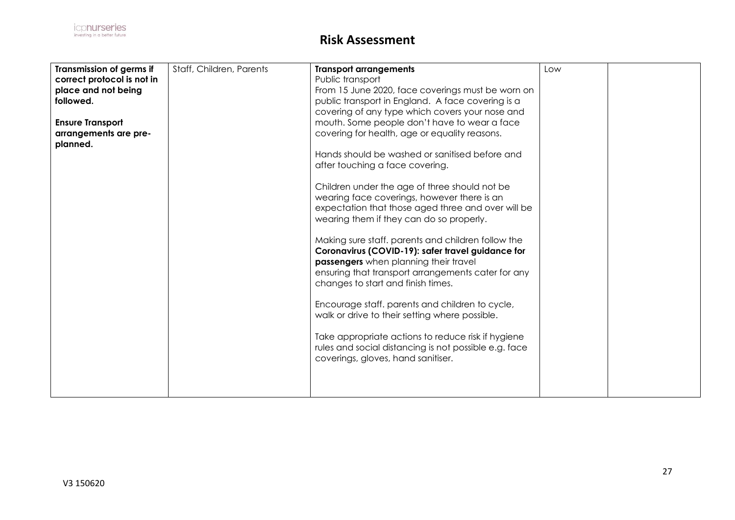| Transmission of germs if<br>correct protocol is not in<br>place and not being<br>followed.<br><b>Ensure Transport</b><br>arrangements are pre-<br>planned. | Staff, Children, Parents | <b>Transport arrangements</b><br>Public transport<br>From 15 June 2020, face coverings must be worn on<br>public transport in England. A face covering is a<br>covering of any type which covers your nose and<br>mouth. Some people don't have to wear a face<br>covering for health, age or equality reasons.<br>Hands should be washed or sanitised before and<br>after touching a face covering.<br>Children under the age of three should not be<br>wearing face coverings, however there is an<br>expectation that those aged three and over will be<br>wearing them if they can do so properly.<br>Making sure staff. parents and children follow the<br>Coronavirus (COVID-19): safer travel guidance for<br>passengers when planning their travel<br>ensuring that transport arrangements cater for any<br>changes to start and finish times.<br>Encourage staff. parents and children to cycle,<br>walk or drive to their setting where possible.<br>Take appropriate actions to reduce risk if hygiene<br>rules and social distancing is not possible e.g. face<br>coverings, gloves, hand sanitiser. | Low |  |
|------------------------------------------------------------------------------------------------------------------------------------------------------------|--------------------------|------------------------------------------------------------------------------------------------------------------------------------------------------------------------------------------------------------------------------------------------------------------------------------------------------------------------------------------------------------------------------------------------------------------------------------------------------------------------------------------------------------------------------------------------------------------------------------------------------------------------------------------------------------------------------------------------------------------------------------------------------------------------------------------------------------------------------------------------------------------------------------------------------------------------------------------------------------------------------------------------------------------------------------------------------------------------------------------------------------------|-----|--|
|                                                                                                                                                            |                          |                                                                                                                                                                                                                                                                                                                                                                                                                                                                                                                                                                                                                                                                                                                                                                                                                                                                                                                                                                                                                                                                                                                  |     |  |